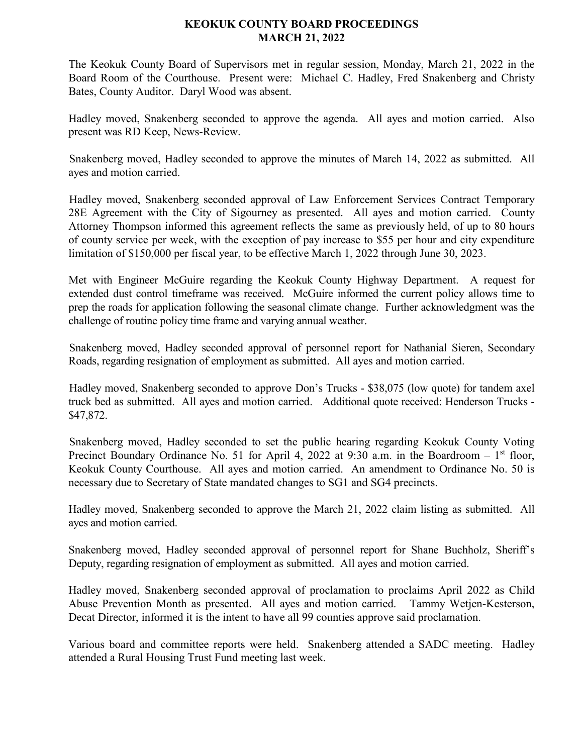## **KEOKUK COUNTY BOARD PROCEEDINGS MARCH 21, 2022**

The Keokuk County Board of Supervisors met in regular session, Monday, March 21, 2022 in the Board Room of the Courthouse. Present were: Michael C. Hadley, Fred Snakenberg and Christy Bates, County Auditor. Daryl Wood was absent.

Hadley moved, Snakenberg seconded to approve the agenda. All ayes and motion carried. Also present was RD Keep, News-Review.

Snakenberg moved, Hadley seconded to approve the minutes of March 14, 2022 as submitted. All ayes and motion carried.

Hadley moved, Snakenberg seconded approval of Law Enforcement Services Contract Temporary 28E Agreement with the City of Sigourney as presented. All ayes and motion carried. County Attorney Thompson informed this agreement reflects the same as previously held, of up to 80 hours of county service per week, with the exception of pay increase to \$55 per hour and city expenditure limitation of \$150,000 per fiscal year, to be effective March 1, 2022 through June 30, 2023.

Met with Engineer McGuire regarding the Keokuk County Highway Department. A request for extended dust control timeframe was received. McGuire informed the current policy allows time to prep the roads for application following the seasonal climate change. Further acknowledgment was the challenge of routine policy time frame and varying annual weather.

Snakenberg moved, Hadley seconded approval of personnel report for Nathanial Sieren, Secondary Roads, regarding resignation of employment as submitted. All ayes and motion carried.

Hadley moved, Snakenberg seconded to approve Don's Trucks - \$38,075 (low quote) for tandem axel truck bed as submitted. All ayes and motion carried. Additional quote received: Henderson Trucks - \$47,872.

Snakenberg moved, Hadley seconded to set the public hearing regarding Keokuk County Voting Precinct Boundary Ordinance No. 51 for April 4, 2022 at 9:30 a.m. in the Boardroom - 1st floor, Keokuk County Courthouse. All ayes and motion carried. An amendment to Ordinance No. 50 is necessary due to Secretary of State mandated changes to SG1 and SG4 precincts.

Hadley moved, Snakenberg seconded to approve the March 21, 2022 claim listing as submitted. All ayes and motion carried.

Snakenberg moved, Hadley seconded approval of personnel report for Shane Buchholz, Sheriff's Deputy, regarding resignation of employment as submitted. All ayes and motion carried.

Hadley moved, Snakenberg seconded approval of proclamation to proclaims April 2022 as Child Abuse Prevention Month as presented. All ayes and motion carried. Tammy Wetjen-Kesterson, Decat Director, informed it is the intent to have all 99 counties approve said proclamation.

Various board and committee reports were held. Snakenberg attended a SADC meeting. Hadley attended a Rural Housing Trust Fund meeting last week.